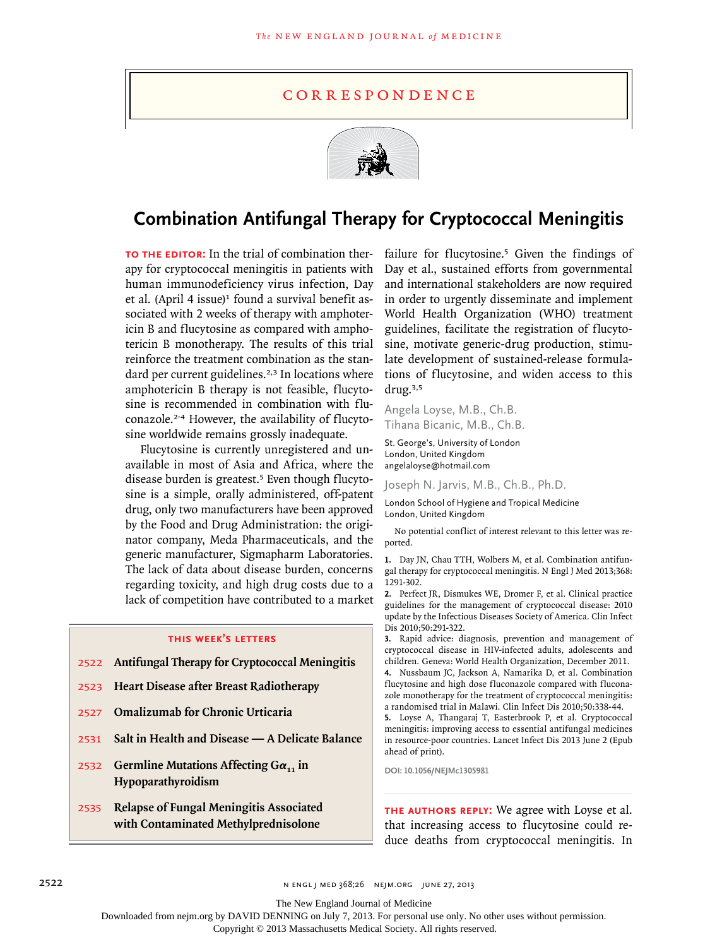### c o r r e s p o n d e n c e



# **Combination Antifungal Therapy for Cryptococcal Meningitis**

**To the Editor:** In the trial of combination therapy for cryptococcal meningitis in patients with human immunodeficiency virus infection, Day et al. (April 4 issue)<sup>1</sup> found a survival benefit associated with 2 weeks of therapy with amphotericin B and flucytosine as compared with amphotericin B monotherapy. The results of this trial reinforce the treatment combination as the standard per current guidelines.<sup>2,3</sup> In locations where amphotericin B therapy is not feasible, flucytosine is recommended in combination with fluconazole.2-4 However, the availability of flucytosine worldwide remains grossly inadequate.

Flucytosine is currently unregistered and unavailable in most of Asia and Africa, where the disease burden is greatest.<sup>5</sup> Even though flucytosine is a simple, orally administered, off-patent drug, only two manufacturers have been approved by the Food and Drug Administration: the originator company, Meda Pharmaceuticals, and the generic manufacturer, Sigmapharm Laboratories. The lack of data about disease burden, concerns regarding toxicity, and high drug costs due to a lack of competition have contributed to a market

#### **this week's letters**

- 2522 **Antifungal Therapy for Cryptococcal Meningitis**
- 2523 **Heart Disease after Breast Radiotherapy**
- 2527 **Omalizumab for Chronic Urticaria**
- 2531 **Salt in Health and Disease — A Delicate Balance**
- 2532 **Germline Mutations Affecting Gα<sup>11</sup> in Hypoparathyroidism**
- 2535 **Relapse of Fungal Meningitis Associated with Contaminated Methylprednisolone**

failure for flucytosine.<sup>5</sup> Given the findings of Day et al., sustained efforts from governmental and international stakeholders are now required in order to urgently disseminate and implement World Health Organization (WHO) treatment guidelines, facilitate the registration of flucytosine, motivate generic-drug production, stimulate development of sustained-release formulations of flucytosine, and widen access to this drug.3,5

Angela Loyse, M.B., Ch.B. Tihana Bicanic, M.B., Ch.B.

St. George's, University of London London, United Kingdom angelaloyse@hotmail.com

Joseph N. Jarvis, M.B., Ch.B., Ph.D.

London School of Hygiene and Tropical Medicine London, United Kingdom

No potential conflict of interest relevant to this letter was reported.

**1.** Day JN, Chau TTH, Wolbers M, et al. Combination antifungal therapy for cryptococcal meningitis. N Engl J Med 2013;368: 1291-302.

**2.** Perfect JR, Dismukes WE, Dromer F, et al. Clinical practice guidelines for the management of cryptococcal disease: 2010 update by the Infectious Diseases Society of America. Clin Infect Dis 2010;50:291-322.

**3.** Rapid advice: diagnosis, prevention and management of cryptococcal disease in HIV-infected adults, adolescents and children. Geneva: World Health Organization, December 2011. **4.** Nussbaum JC, Jackson A, Namarika D, et al. Combination

flucytosine and high dose fluconazole compared with fluconazole monotherapy for the treatment of cryptococcal meningitis: a randomised trial in Malawi. Clin Infect Dis 2010;50:338-44.

**5.** Loyse A, Thangaraj T, Easterbrook P, et al. Cryptococcal meningitis: improving access to essential antifungal medicines in resource-poor countries. Lancet Infect Dis 2013 June 2 (Epub ahead of print).

**DOI: 10.1056/NEJMc1305981**

**The Authors Reply:** We agree with Loyse et al. that increasing access to flucytosine could reduce deaths from cryptococcal meningitis. In

2522 n engl j med 368;26 nejm.org june 27, 2013

The New England Journal of Medicine

Downloaded from nejm.org by DAVID DENNING on July 7, 2013. For personal use only. No other uses without permission.

Copyright © 2013 Massachusetts Medical Society. All rights reserved.